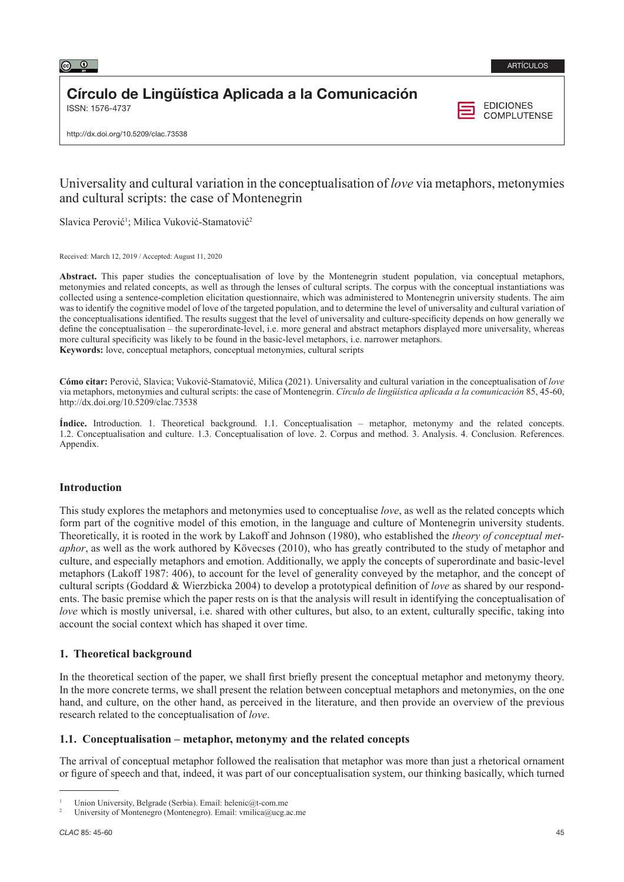

# Círculo de Lingüística Aplicada a la Comunicación

ISSN: 1576-4737

**EDICIONES COMPLUTENSE** 

http://dx.doi.org/10.5209/clac.73538

## Universality and cultural variation in the conceptualisation of *love* via metaphors, metonymies and cultural scripts: the case of Montenegrin

Slavica Perović<sup>1</sup>; Milica Vuković-Stamatović<sup>2</sup>

Received: March 12, 2019 / Accepted: August 11, 2020

Abstract. This paper studies the conceptualisation of love by the Montenegrin student population, via conceptual metaphors, metonymies and related concepts, as well as through the lenses of cultural scripts. The corpus with the conceptual instantiations was collected using a sentence-completion elicitation questionnaire, which was administered to Montenegrin university students. The aim was to identify the cognitive model of love of the targeted population, and to determine the level of universality and cultural variation of the conceptualisations identified. The results suggest that the level of universality and culture-specificity depends on how generally we define the conceptualisation – the superordinate-level, i.e. more general and abstract metaphors displayed more universality, whereas more cultural specificity was likely to be found in the basic-level metaphors, i.e. narrower metaphors. **Keywords:** love, conceptual metaphors, conceptual metonymies, cultural scripts

**Cómo citar:** Perović, Slavica; Vuković-Stamatović, Milica (2021). Universality and cultural variation in the conceptualisation of *love* via metaphors, metonymies and cultural scripts: the case of Montenegrin. *Círculo de lingüística aplicada a la comunicación* 85, 45-60, http://dx.doi.org/10.5209/clac.73538

**Índice.** Introduction. 1. Theoretical background. 1.1. Conceptualisation – metaphor, metonymy and the related concepts. 1.2. Conceptualisation and culture. 1.3. Conceptualisation of love. 2. Corpus and method. 3. Analysis. 4. Conclusion. References. Appendix.

## **Introduction**

This study explores the metaphors and metonymies used to conceptualise *love*, as well as the related concepts which form part of the cognitive model of this emotion, in the language and culture of Montenegrin university students. Theoretically, it is rooted in the work by Lakoff and Johnson (1980), who established the *theory of conceptual metaphor*, as well as the work authored by Kövecses (2010), who has greatly contributed to the study of metaphor and culture, and especially metaphors and emotion. Additionally, we apply the concepts of superordinate and basic-level metaphors (Lakoff 1987: 406), to account for the level of generality conveyed by the metaphor, and the concept of cultural scripts (Goddard & Wierzbicka 2004) to develop a prototypical definition of *love* as shared by our respondents. The basic premise which the paper rests on is that the analysis will result in identifying the conceptualisation of *love* which is mostly universal, i.e. shared with other cultures, but also, to an extent, culturally specific, taking into account the social context which has shaped it over time.

## **1. Theoretical background**

In the theoretical section of the paper, we shall first briefly present the conceptual metaphor and metonymy theory. In the more concrete terms, we shall present the relation between conceptual metaphors and metonymies, on the one hand, and culture, on the other hand, as perceived in the literature, and then provide an overview of the previous research related to the conceptualisation of *love*.

## **1.1. Conceptualisation – metaphor, metonymy and the related concepts**

The arrival of conceptual metaphor followed the realisation that metaphor was more than just a rhetorical ornament or figure of speech and that, indeed, it was part of our conceptualisation system, our thinking basically, which turned

Union University, Belgrade (Serbia). Email: helenic@t-com.me

<sup>2</sup> University of Montenegro (Montenegro). Email: vmilica@ucg.ac.me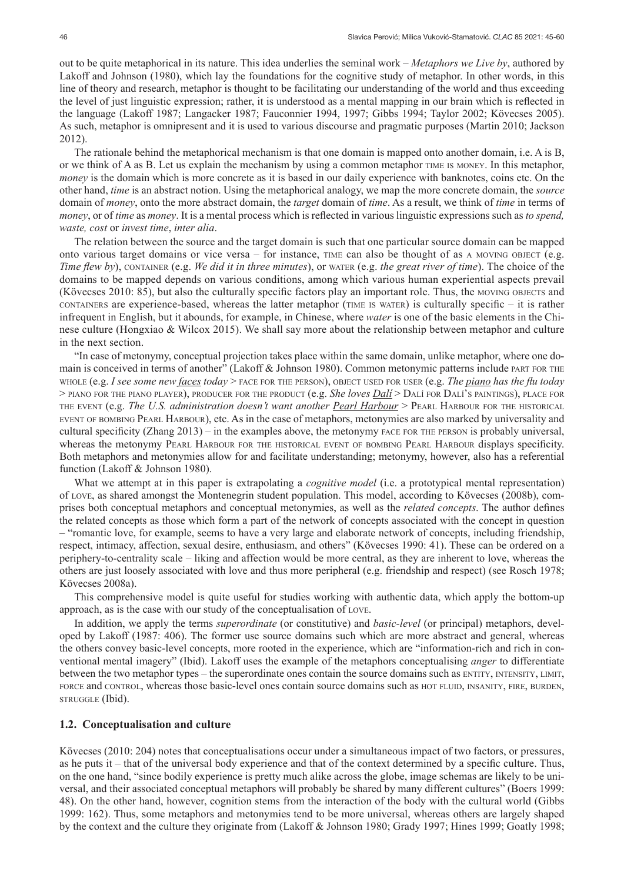out to be quite metaphorical in its nature. This idea underlies the seminal work – *Metaphors we Live by*, authored by Lakoff and Johnson (1980), which lay the foundations for the cognitive study of metaphor. In other words, in this line of theory and research, metaphor is thought to be facilitating our understanding of the world and thus exceeding the level of just linguistic expression; rather, it is understood as a mental mapping in our brain which is reflected in the language (Lakoff 1987; Langacker 1987; Fauconnier 1994, 1997; Gibbs 1994; Taylor 2002; Kövecses 2005). As such, metaphor is omnipresent and it is used to various discourse and pragmatic purposes (Martin 2010; Jackson 2012).

The rationale behind the metaphorical mechanism is that one domain is mapped onto another domain, i.e. A is B, or we think of A as B. Let us explain the mechanism by using a common metaphor time is money. In this metaphor, *money* is the domain which is more concrete as it is based in our daily experience with banknotes, coins etc. On the other hand, *time* is an abstract notion. Using the metaphorical analogy, we map the more concrete domain, the *source*  domain of *money*, onto the more abstract domain, the *target* domain of *time*. As a result, we think of *time* in terms of *money*, or of *time* as *money*. It is a mental process which is reflected in various linguistic expressions such as *to spend, waste, cost* or *invest time*, *inter alia*.

The relation between the source and the target domain is such that one particular source domain can be mapped onto various target domains or vice versa – for instance, time can also be thought of as a moving object (e.g. *Time flew by*), container (e.g. *We did it in three minutes*), or water (e.g. *the great river of time*). The choice of the domains to be mapped depends on various conditions, among which various human experiential aspects prevail (Kövecses 2010: 85), but also the culturally specific factors play an important role. Thus, the MOVING OBJECTS and containers are experience-based, whereas the latter metaphor (time is water) is culturally specific – it is rather infrequent in English, but it abounds, for example, in Chinese, where *water* is one of the basic elements in the Chinese culture (Hongxiao & Wilcox 2015). We shall say more about the relationship between metaphor and culture in the next section.

"In case of metonymy, conceptual projection takes place within the same domain, unlike metaphor, where one domain is conceived in terms of another" (Lakoff & Johnson 1980). Common metonymic patterns include part for the whole (e.g. *I see some new faces today* > face for the person), object used for user (e.g. *The piano has the flu today*  > piano for the piano player), producer for the product (e.g. *She loves Dalí* > Dalí for Dalí's paintings), place for the event (e.g. *The U.S. administration doesn't want another Pearl Harbour* > Pearl Harbour for the historical event of bombing Pearl Harbour), etc. As in the case of metaphors, metonymies are also marked by universality and cultural specificity (Zhang 2013) – in the examples above, the metonymy face for the person is probably universal, whereas the metonymy PEARL HARBOUR FOR THE HISTORICAL EVENT OF BOMBING PEARL HARBOUR displays specificity. Both metaphors and metonymies allow for and facilitate understanding; metonymy, however, also has a referential function (Lakoff & Johnson 1980).

What we attempt at in this paper is extrapolating a *cognitive model* (i.e. a prototypical mental representation) of love, as shared amongst the Montenegrin student population. This model, according to Kövecses (2008b), comprises both conceptual metaphors and conceptual metonymies, as well as the *related concepts*. The author defines the related concepts as those which form a part of the network of concepts associated with the concept in question – "romantic love, for example, seems to have a very large and elaborate network of concepts, including friendship, respect, intimacy, affection, sexual desire, enthusiasm, and others" (Kövecses 1990: 41). These can be ordered on a periphery-to-centrality scale – liking and affection would be more central, as they are inherent to love, whereas the others are just loosely associated with love and thus more peripheral (e.g. friendship and respect) (see Rosch 1978; Kövecses 2008a).

This comprehensive model is quite useful for studies working with authentic data, which apply the bottom-up approach, as is the case with our study of the conceptualisation of love.

In addition, we apply the terms *superordinate* (or constitutive) and *basic-level* (or principal) metaphors, developed by Lakoff (1987: 406). The former use source domains such which are more abstract and general, whereas the others convey basic-level concepts, more rooted in the experience, which are "information-rich and rich in conventional mental imagery" (Ibid). Lakoff uses the example of the metaphors conceptualising *anger* to differentiate between the two metaphor types – the superordinate ones contain the source domains such as entity, intensity, limit, force and control, whereas those basic-level ones contain source domains such as hot fluid, insanity, fire, burden, struggle (Ibid).

#### **1.2. Conceptualisation and culture**

Kövecses (2010: 204) notes that conceptualisations occur under a simultaneous impact of two factors, or pressures, as he puts it – that of the universal body experience and that of the context determined by a specific culture. Thus, on the one hand, "since bodily experience is pretty much alike across the globe, image schemas are likely to be universal, and their associated conceptual metaphors will probably be shared by many different cultures" (Boers 1999: 48). On the other hand, however, cognition stems from the interaction of the body with the cultural world (Gibbs 1999: 162). Thus, some metaphors and metonymies tend to be more universal, whereas others are largely shaped by the context and the culture they originate from (Lakoff & Johnson 1980; Grady 1997; Hines 1999; Goatly 1998;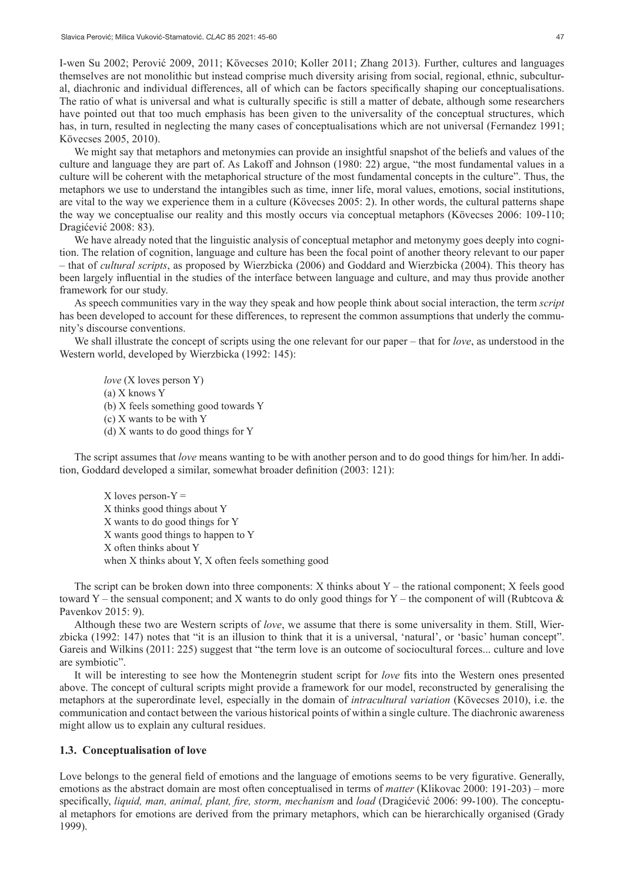I-wen Su 2002; Perović 2009, 2011; Kövecses 2010; Koller 2011; Zhang 2013). Further, cultures and languages themselves are not monolithic but instead comprise much diversity arising from social, regional, ethnic, subcultural, diachronic and individual differences, all of which can be factors specifically shaping our conceptualisations. The ratio of what is universal and what is culturally specific is still a matter of debate, although some researchers have pointed out that too much emphasis has been given to the universality of the conceptual structures, which has, in turn, resulted in neglecting the many cases of conceptualisations which are not universal (Fernandez 1991; Kövecses 2005, 2010).

We might say that metaphors and metonymies can provide an insightful snapshot of the beliefs and values of the culture and language they are part of. As Lakoff and Johnson (1980: 22) argue, "the most fundamental values in a culture will be coherent with the metaphorical structure of the most fundamental concepts in the culture". Thus, the metaphors we use to understand the intangibles such as time, inner life, moral values, emotions, social institutions, are vital to the way we experience them in a culture (Kövecses 2005: 2). In other words, the cultural patterns shape the way we conceptualise our reality and this mostly occurs via conceptual metaphors (Kövecses 2006: 109-110; Dragićević 2008: 83).

We have already noted that the linguistic analysis of conceptual metaphor and metonymy goes deeply into cognition. The relation of cognition, language and culture has been the focal point of another theory relevant to our paper – that of *cultural scripts*, as proposed by Wierzbicka (2006) and Goddard and Wierzbicka (2004). This theory has been largely influential in the studies of the interface between language and culture, and may thus provide another framework for our study.

As speech communities vary in the way they speak and how people think about social interaction, the term *script*  has been developed to account for these differences, to represent the common assumptions that underly the community's discourse conventions.

We shall illustrate the concept of scripts using the one relevant for our paper – that for *love*, as understood in the Western world, developed by Wierzbicka (1992: 145):

*love* (X loves person Y) (a) X knows Y (b) X feels something good towards Y (c) X wants to be with Y (d) X wants to do good things for Y

The script assumes that *love* means wanting to be with another person and to do good things for him/her. In addition, Goddard developed a similar, somewhat broader definition (2003: 121):

X loves person- $Y =$ X thinks good things about Y X wants to do good things for Y X wants good things to happen to Y X often thinks about Y when X thinks about Y, X often feels something good

The script can be broken down into three components: X thinks about  $Y$  – the rational component; X feels good toward Y – the sensual component; and X wants to do only good things for Y – the component of will (Rubtcova  $\&$ Pavenkov 2015: 9).

Although these two are Western scripts of *love*, we assume that there is some universality in them. Still, Wierzbicka (1992: 147) notes that "it is an illusion to think that it is a universal, 'natural', or 'basic' human concept". Gareis and Wilkins (2011: 225) suggest that "the term love is an outcome of sociocultural forces... culture and love are symbiotic".

It will be interesting to see how the Montenegrin student script for *love* fits into the Western ones presented above. The concept of cultural scripts might provide a framework for our model, reconstructed by generalising the metaphors at the superordinate level, especially in the domain of *intracultural variation* (Kövecses 2010), i.e. the communication and contact between the various historical points of within a single culture. The diachronic awareness might allow us to explain any cultural residues.

## **1.3. Conceptualisation of love**

Love belongs to the general field of emotions and the language of emotions seems to be very figurative. Generally, emotions as the abstract domain are most often conceptualised in terms of *matter* (Klikovac 2000: 191-203) – more specifically, *liquid, man, animal, plant, fire, storm, mechanism* and *load* (Dragićević 2006: 99-100). The conceptual metaphors for emotions are derived from the primary metaphors, which can be hierarchically organised (Grady 1999).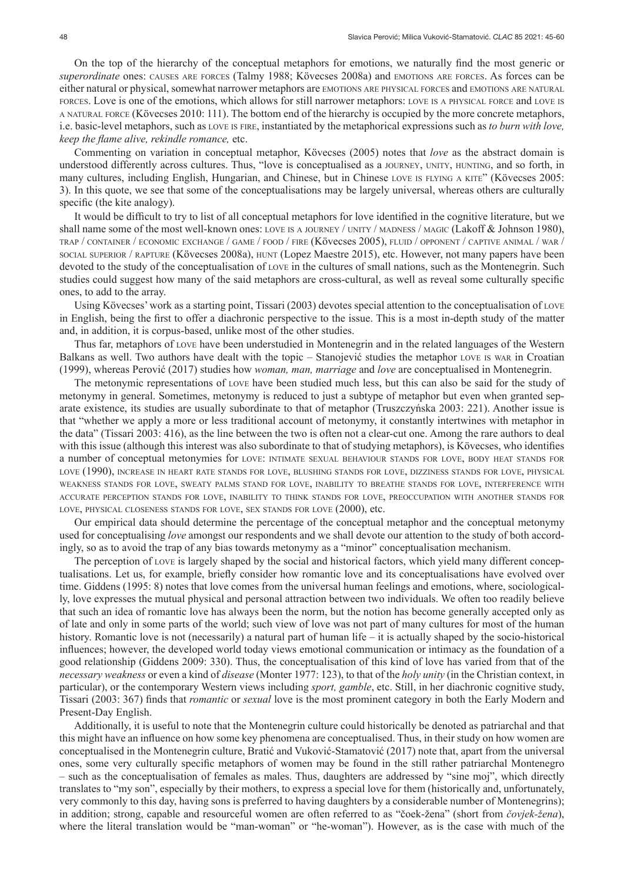On the top of the hierarchy of the conceptual metaphors for emotions, we naturally find the most generic or *superordinate* ones: causes are forces (Talmy 1988; Kövecses 2008a) and emotions are forces. As forces can be either natural or physical, somewhat narrower metaphors are emotions are physical forces and emotions are natural forces. Love is one of the emotions, which allows for still narrower metaphors: love is <sup>a</sup> physical force and love is <sup>a</sup> natural force (Kövecses 2010: 111). The bottom end of the hierarchy is occupied by the more concrete metaphors, i.e. basic-level metaphors, such as love is fire, instantiated by the metaphorical expressions such as *to burn with love, keep the flame alive, rekindle romance,* etc.

Commenting on variation in conceptual metaphor, Kövecses (2005) notes that *love* as the abstract domain is understood differently across cultures. Thus, "love is conceptualised as a journey, unity, hunting, and so forth, in many cultures, including English, Hungarian, and Chinese, but in Chinese LOVE IS FLYING A KITE" (Kövecses 2005: 3). In this quote, we see that some of the conceptualisations may be largely universal, whereas others are culturally specific (the kite analogy).

It would be difficult to try to list of all conceptual metaphors for love identified in the cognitive literature, but we shall name some of the most well-known ones: love is <sup>a</sup> journey / unity / madness / magic (Lakoff & Johnson 1980), trap / container / economic exchange / game / food / fire (Kövecses 2005), fluid / opponent / captive animal / war / social superior / rapture (Kövecses 2008a), hunt (Lopez Maestre 2015), etc. However, not many papers have been devoted to the study of the conceptualisation of love in the cultures of small nations, such as the Montenegrin. Such studies could suggest how many of the said metaphors are cross-cultural, as well as reveal some culturally specific ones, to add to the array.

Using Kövecses' work as a starting point, Tissari (2003) devotes special attention to the conceptualisation of love in English, being the first to offer a diachronic perspective to the issue. This is a most in-depth study of the matter and, in addition, it is corpus-based, unlike most of the other studies.

Thus far, metaphors of love have been understudied in Montenegrin and in the related languages of the Western Balkans as well. Two authors have dealt with the topic – Stanojević studies the metaphor LOVE IS WAR in Croatian (1999), whereas Perović (2017) studies how *woman, man, marriage* and *love* are conceptualised in Montenegrin.

The metonymic representations of love have been studied much less, but this can also be said for the study of metonymy in general. Sometimes, metonymy is reduced to just a subtype of metaphor but even when granted separate existence, its studies are usually subordinate to that of metaphor (Truszczyńska 2003: 221). Another issue is that "whether we apply a more or less traditional account of metonymy, it constantly intertwines with metaphor in the data" (Tissari 2003: 416), as the line between the two is often not a clear-cut one. Among the rare authors to deal with this issue (although this interest was also subordinate to that of studying metaphors), is Kövecses, who identifies a number of conceptual metonymies for love: intimate sexual behaviour stands for love, body heat stands for love (1990), increase in heart rate stands for love, blushing stands for love, dizziness stands for love, physical weakness stands for love, sweaty palms stand for love, inability to breathe stands for love, interference with accurate perception stands for love, inability to think stands for love, preoccupation with another stands for LOVE, PHYSICAL CLOSENESS STANDS FOR LOVE, SEX STANDS FOR LOVE (2000), etc.

Our empirical data should determine the percentage of the conceptual metaphor and the conceptual metonymy used for conceptualising *love* amongst our respondents and we shall devote our attention to the study of both accordingly, so as to avoid the trap of any bias towards metonymy as a "minor" conceptualisation mechanism.

The perception of Love is largely shaped by the social and historical factors, which yield many different conceptualisations. Let us, for example, briefly consider how romantic love and its conceptualisations have evolved over time. Giddens (1995: 8) notes that love comes from the universal human feelings and emotions, where, sociologically, love expresses the mutual physical and personal attraction between two individuals. We often too readily believe that such an idea of romantic love has always been the norm, but the notion has become generally accepted only as of late and only in some parts of the world; such view of love was not part of many cultures for most of the human history. Romantic love is not (necessarily) a natural part of human life – it is actually shaped by the socio-historical influences; however, the developed world today views emotional communication or intimacy as the foundation of a good relationship (Giddens 2009: 330). Thus, the conceptualisation of this kind of love has varied from that of the *necessary weakness* or even a kind of *disease* (Monter 1977: 123), to that of the *holy unity* (in the Christian context, in particular), or the contemporary Western views including *sport, gamble*, etc. Still, in her diachronic cognitive study, Tissari (2003: 367) finds that *romantic* or *sexual* love is the most prominent category in both the Early Modern and Present-Day English.

Additionally, it is useful to note that the Montenegrin culture could historically be denoted as patriarchal and that this might have an influence on how some key phenomena are conceptualised. Thus, in their study on how women are conceptualised in the Montenegrin culture, Bratić and Vuković-Stamatović (2017) note that, apart from the universal ones, some very culturally specific metaphors of women may be found in the still rather patriarchal Montenegro – such as the conceptualisation of females as males. Thus, daughters are addressed by "sine moj", which directly translates to "my son", especially by their mothers, to express a special love for them (historically and, unfortunately, very commonly to this day, having sons is preferred to having daughters by a considerable number of Montenegrins); in addition; strong, capable and resourceful women are often referred to as "čoek-žena" (short from *čovjek-žena*), where the literal translation would be "man-woman" or "he-woman"). However, as is the case with much of the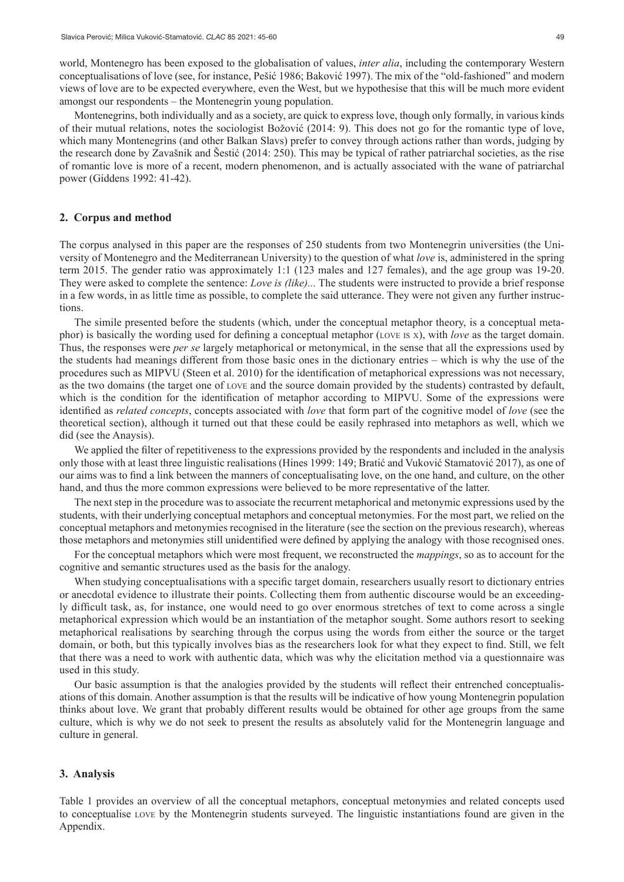world, Montenegro has been exposed to the globalisation of values, *inter alia*, including the contemporary Western conceptualisations of love (see, for instance, Pešić 1986; Baković 1997). The mix of the "old-fashioned" and modern views of love are to be expected everywhere, even the West, but we hypothesise that this will be much more evident amongst our respondents – the Montenegrin young population.

Montenegrins, both individually and as a society, are quick to express love, though only formally, in various kinds of their mutual relations, notes the sociologist Božović (2014: 9). This does not go for the romantic type of love, which many Montenegrins (and other Balkan Slavs) prefer to convey through actions rather than words, judging by the research done by Zavašnik and Šestić (2014: 250). This may be typical of rather patriarchal societies, as the rise of romantic love is more of a recent, modern phenomenon, and is actually associated with the wane of patriarchal power (Giddens 1992: 41-42).

#### **2. Corpus and method**

The corpus analysed in this paper are the responses of 250 students from two Montenegrin universities (the University of Montenegro and the Mediterranean University) to the question of what *love* is, administered in the spring term 2015. The gender ratio was approximately 1:1 (123 males and 127 females), and the age group was 19-20. They were asked to complete the sentence: *Love is (like)...* The students were instructed to provide a brief response in a few words, in as little time as possible, to complete the said utterance. They were not given any further instructions.

The simile presented before the students (which, under the conceptual metaphor theory, is a conceptual metaphor) is basically the wording used for defining a conceptual metaphor (love is <sup>x</sup>), with *love* as the target domain. Thus, the responses were *per se* largely metaphorical or metonymical, in the sense that all the expressions used by the students had meanings different from those basic ones in the dictionary entries – which is why the use of the procedures such as MIPVU (Steen et al. 2010) for the identification of metaphorical expressions was not necessary, as the two domains (the target one of love and the source domain provided by the students) contrasted by default, which is the condition for the identification of metaphor according to MIPVU. Some of the expressions were identified as *related concepts*, concepts associated with *love* that form part of the cognitive model of *love* (see the theoretical section), although it turned out that these could be easily rephrased into metaphors as well, which we did (see the Anaysis).

We applied the filter of repetitiveness to the expressions provided by the respondents and included in the analysis only those with at least three linguistic realisations (Hines 1999: 149; Bratić and Vuković Stamatović 2017), as one of our aims was to find a link between the manners of conceptualisating love, on the one hand, and culture, on the other hand, and thus the more common expressions were believed to be more representative of the latter.

The next step in the procedure was to associate the recurrent metaphorical and metonymic expressions used by the students, with their underlying conceptual metaphors and conceptual metonymies. For the most part, we relied on the conceptual metaphors and metonymies recognised in the literature (see the section on the previous research), whereas those metaphors and metonymies still unidentified were defined by applying the analogy with those recognised ones.

For the conceptual metaphors which were most frequent, we reconstructed the *mappings*, so as to account for the cognitive and semantic structures used as the basis for the analogy.

When studying conceptualisations with a specific target domain, researchers usually resort to dictionary entries or anecdotal evidence to illustrate their points. Collecting them from authentic discourse would be an exceedingly difficult task, as, for instance, one would need to go over enormous stretches of text to come across a single metaphorical expression which would be an instantiation of the metaphor sought. Some authors resort to seeking metaphorical realisations by searching through the corpus using the words from either the source or the target domain, or both, but this typically involves bias as the researchers look for what they expect to find. Still, we felt that there was a need to work with authentic data, which was why the elicitation method via a questionnaire was used in this study.

Our basic assumption is that the analogies provided by the students will reflect their entrenched conceptualisations of this domain. Another assumption is that the results will be indicative of how young Montenegrin population thinks about love. We grant that probably different results would be obtained for other age groups from the same culture, which is why we do not seek to present the results as absolutely valid for the Montenegrin language and culture in general.

#### **3. Analysis**

Table 1 provides an overview of all the conceptual metaphors, conceptual metonymies and related concepts used to conceptualise love by the Montenegrin students surveyed. The linguistic instantiations found are given in the Appendix.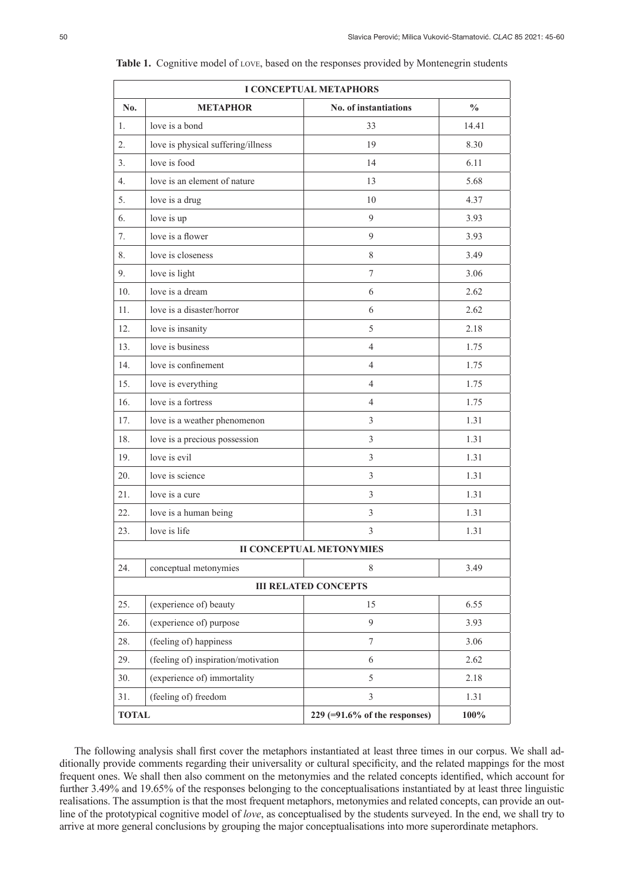|                                 | I CONCEPTUAL METAPHORS              |                                 |               |  |  |
|---------------------------------|-------------------------------------|---------------------------------|---------------|--|--|
| No.                             | <b>METAPHOR</b>                     | No. of instantiations           | $\frac{0}{0}$ |  |  |
| 1.                              | love is a bond                      | 33                              | 14.41         |  |  |
| 2.                              | love is physical suffering/illness  | 19                              | 8.30          |  |  |
| 3 <sub>1</sub>                  | love is food                        | 14                              | 6.11          |  |  |
| $\overline{4}$ .                | love is an element of nature        | 13                              | 5.68          |  |  |
| 5.                              | love is a drug                      | 10                              | 4.37          |  |  |
| 6.                              | love is up                          | 9                               | 3.93          |  |  |
| 7.                              | love is a flower                    | 9                               | 3.93          |  |  |
| 8.                              | love is closeness                   | $\,$ 8 $\,$                     | 3.49          |  |  |
| 9.                              | love is light                       | $\overline{7}$                  | 3.06          |  |  |
| 10.                             | love is a dream                     | 6                               | 2.62          |  |  |
| 11.                             | love is a disaster/horror           | 6                               | 2.62          |  |  |
| 12.                             | love is insanity                    | 5                               | 2.18          |  |  |
| 13.                             | love is business                    | $\overline{4}$                  | 1.75          |  |  |
| 14.                             | love is confinement                 | $\overline{4}$                  | 1.75          |  |  |
| 15.                             | love is everything                  | $\overline{4}$                  | 1.75          |  |  |
| 16.                             | love is a fortress                  | $\overline{4}$                  | 1.75          |  |  |
| 17.                             | love is a weather phenomenon        | $\mathfrak{Z}$                  | 1.31          |  |  |
| 18.                             | love is a precious possession       | 3                               | 1.31          |  |  |
| 19.                             | love is evil                        | 3                               | 1.31          |  |  |
| 20.                             | love is science                     | 3                               | 1.31          |  |  |
| 21.                             | love is a cure                      | 3                               | 1.31          |  |  |
| 22.                             | love is a human being               | 3                               | 1.31          |  |  |
| 23.                             | love is life                        | 3                               | 1.31          |  |  |
| <b>II CONCEPTUAL METONYMIES</b> |                                     |                                 |               |  |  |
| 24.                             | conceptual metonymies               | 8                               | 3.49          |  |  |
| <b>III RELATED CONCEPTS</b>     |                                     |                                 |               |  |  |
| 25.                             | (experience of) beauty              | 15                              | 6.55          |  |  |
| 26.                             | (experience of) purpose             | 9                               | 3.93          |  |  |
| 28.                             | (feeling of) happiness              | $\tau$                          | 3.06          |  |  |
| 29.                             | (feeling of) inspiration/motivation | 6                               | 2.62          |  |  |
| 30.                             | (experience of) immortality         | 5                               | 2.18          |  |  |
| 31.                             | (feeling of) freedom                | 3                               | 1.31          |  |  |
| <b>TOTAL</b>                    |                                     | $229$ (=91.6% of the responses) | 100%          |  |  |

Table 1. Cognitive model of LOVE, based on the responses provided by Montenegrin students

The following analysis shall first cover the metaphors instantiated at least three times in our corpus. We shall additionally provide comments regarding their universality or cultural specificity, and the related mappings for the most frequent ones. We shall then also comment on the metonymies and the related concepts identified, which account for further 3.49% and 19.65% of the responses belonging to the conceptualisations instantiated by at least three linguistic realisations. The assumption is that the most frequent metaphors, metonymies and related concepts, can provide an outline of the prototypical cognitive model of *love*, as conceptualised by the students surveyed. In the end, we shall try to arrive at more general conclusions by grouping the major conceptualisations into more superordinate metaphors.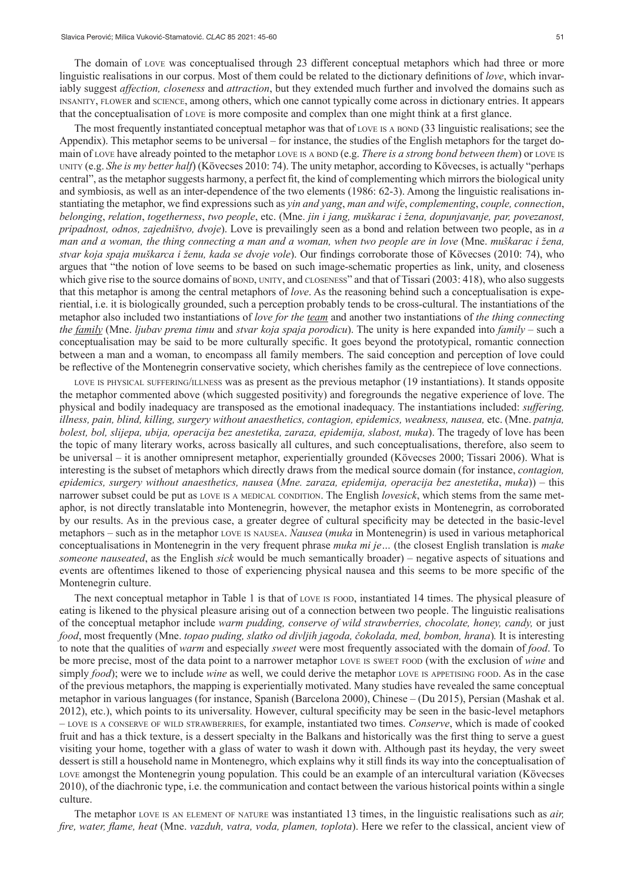The domain of love was conceptualised through 23 different conceptual metaphors which had three or more linguistic realisations in our corpus. Most of them could be related to the dictionary definitions of *love*, which invariably suggest *affection, closeness* and *attraction*, but they extended much further and involved the domains such as insanity, flower and science, among others, which one cannot typically come across in dictionary entries. It appears that the conceptualisation of love is more composite and complex than one might think at a first glance.

The most frequently instantiated conceptual metaphor was that of love is a bond (33 linguistic realisations; see the Appendix). This metaphor seems to be universal – for instance, the studies of the English metaphors for the target domain of LOVE have already pointed to the metaphor LOVE IS A BOND (e.g. *There is a strong bond between them*) or LOVE IS unity (e.g. *She is my better half*) (Kövecses 2010: 74). The unity metaphor, according to Kövecses, is actually "perhaps central", as the metaphor suggests harmony, a perfect fit, the kind of complementing which mirrors the biological unity and symbiosis, as well as an inter-dependence of the two elements (1986: 62-3). Among the linguistic realisations instantiating the metaphor, we find expressions such as *yin and yang*, *man and wife*, *complementing*, *couple, connection*, *belonging*, *relation*, *togetherness*, *two people*, etc. (Mne. *jin i jang, muškarac i žena, dopunjavanje, par, povezanost, pripadnost, odnos, zajedništvo, dvoje*). Love is prevailingly seen as a bond and relation between two people, as in *a man and a woman, the thing connecting a man and a woman, when two people are in love* (Mne. *muškarac i žena, stvar koja spaja muškarca i ženu, kada se dvoje vole*). Our findings corroborate those of Kövecses (2010: 74), who argues that "the notion of love seems to be based on such image-schematic properties as link, unity, and closeness which give rise to the source domains of bond, unity, and closeness" and that of Tissari (2003: 418), who also suggests that this metaphor is among the central metaphors of *love*. As the reasoning behind such a conceptualisation is experiential, i.e. it is biologically grounded, such a perception probably tends to be cross-cultural. The instantiations of the metaphor also included two instantiations of *love for the team* and another two instantiations of *the thing connecting the family* (Mne. *ljubav prema timu* and *stvar koja spaja porodicu*). The unity is here expanded into *family* – such a conceptualisation may be said to be more culturally specific. It goes beyond the prototypical, romantic connection between a man and a woman, to encompass all family members. The said conception and perception of love could be reflective of the Montenegrin conservative society, which cherishes family as the centrepiece of love connections.

love is physical suffering/illness was as present as the previous metaphor (19 instantiations). It stands opposite the metaphor commented above (which suggested positivity) and foregrounds the negative experience of love. The physical and bodily inadequacy are transposed as the emotional inadequacy. The instantiations included: *suffering, illness, pain, blind, killing, surgery without anaesthetics, contagion, epidemics, weakness, nausea,* etc. (Mne. *patnja, bolest, bol, slijepa, ubija, operacija bez anestetika, zaraza, epidemija, slabost, muka*). The tragedy of love has been the topic of many literary works, across basically all cultures, and such conceptualisations, therefore, also seem to be universal – it is another omnipresent metaphor, experientially grounded (Kövecses 2000; Tissari 2006). What is interesting is the subset of metaphors which directly draws from the medical source domain (for instance, *contagion, epidemics, surgery without anaesthetics, nausea* (*Mne. zaraza, epidemija, operacija bez anestetika*, *muka*)) – this narrower subset could be put as LOVE IS A MEDICAL CONDITION. The English *lovesick*, which stems from the same metaphor, is not directly translatable into Montenegrin, however, the metaphor exists in Montenegrin, as corroborated by our results. As in the previous case, a greater degree of cultural specificity may be detected in the basic-level metaphors – such as in the metaphor love is nausea. *Nausea* (*muka* in Montenegrin) is used in various metaphorical conceptualisations in Montenegrin in the very frequent phrase *muka mi je…* (the closest English translation is *make someone nauseated*, as the English *sick* would be much semantically broader) – negative aspects of situations and events are oftentimes likened to those of experiencing physical nausea and this seems to be more specific of the Montenegrin culture.

The next conceptual metaphor in Table 1 is that of love is food, instantiated 14 times. The physical pleasure of eating is likened to the physical pleasure arising out of a connection between two people. The linguistic realisations of the conceptual metaphor include *warm pudding, conserve of wild strawberries, chocolate, honey, candy,* or just *food*, most frequently (Mne. *topao puding, slatko od divljih jagoda, čokolada, med, bombon, hrana*)*.* It is interesting to note that the qualities of *warm* and especially *sweet* were most frequently associated with the domain of *food*. To be more precise, most of the data point to a narrower metaphor love is sweet food (with the exclusion of *wine* and simply *food*); were we to include *wine* as well, we could derive the metaphor LOVE IS APPETISING FOOD. As in the case of the previous metaphors, the mapping is experientially motivated. Many studies have revealed the same conceptual metaphor in various languages (for instance, Spanish (Barcelona 2000), Chinese – (Du 2015), Persian (Mashak et al. 2012), etc.), which points to its universality. However, cultural specificity may be seen in the basic-level metaphors – love is <sup>a</sup> conserve of wild strawberries, for example, instantiated two times. *Conserve*, which is made of cooked fruit and has a thick texture, is a dessert specialty in the Balkans and historically was the first thing to serve a guest visiting your home, together with a glass of water to wash it down with. Although past its heyday, the very sweet dessert is still a household name in Montenegro, which explains why it still finds its way into the conceptualisation of love amongst the Montenegrin young population. This could be an example of an intercultural variation (Kövecses 2010), of the diachronic type, i.e. the communication and contact between the various historical points within a single culture.

The metaphor love is an element of nature was instantiated 13 times, in the linguistic realisations such as *air, fire, water, flame, heat* (Mne. *vazduh, vatra, voda, plamen, toplota*). Here we refer to the classical, ancient view of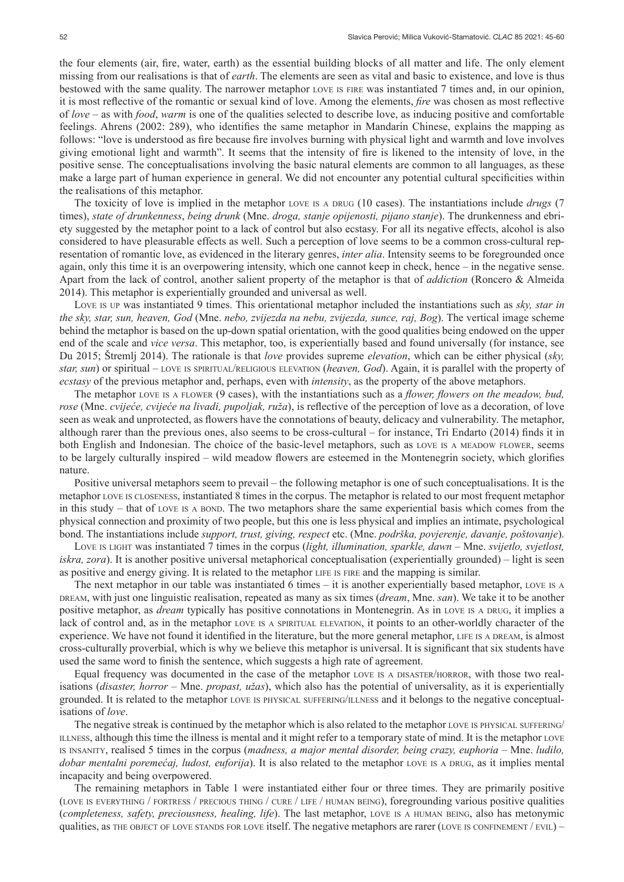the four elements (air, fire, water, earth) as the essential building blocks of all matter and life. The only element missing from our realisations is that of *earth*. The elements are seen as vital and basic to existence, and love is thus bestowed with the same quality. The narrower metaphor love is fire was instantiated 7 times and, in our opinion, it is most reflective of the romantic or sexual kind of love. Among the elements, *fire* was chosen as most reflective of *love* – as with *food*, *warm* is one of the qualities selected to describe love, as inducing positive and comfortable feelings. Ahrens (2002: 289), who identifies the same metaphor in Mandarin Chinese, explains the mapping as follows: "love is understood as fire because fire involves burning with physical light and warmth and love involves giving emotional light and warmth". It seems that the intensity of fire is likened to the intensity of love, in the positive sense. The conceptualisations involving the basic natural elements are common to all languages, as these make a large part of human experience in general. We did not encounter any potential cultural specificities within the realisations of this metaphor.

The toxicity of love is implied in the metaphor LOVE IS A DRUG (10 cases). The instantiations include *drugs* (7 times), *state of drunkenness*, *being drunk* (Mne. *droga, stanje opijenosti, pijano stanje*). The drunkenness and ebriety suggested by the metaphor point to a lack of control but also ecstasy. For all its negative effects, alcohol is also considered to have pleasurable effects as well. Such a perception of love seems to be a common cross-cultural representation of romantic love, as evidenced in the literary genres, *inter alia*. Intensity seems to be foregrounded once again, only this time it is an overpowering intensity, which one cannot keep in check, hence – in the negative sense. Apart from the lack of control, another salient property of the metaphor is that of *addiction* (Roncero & Almeida 2014). This metaphor is experientially grounded and universal as well.

Love is up was instantiated 9 times. This orientational metaphor included the instantiations such as *sky, star in the sky, star, sun, heaven, God* (Mne. *nebo, zvijezda na nebu, zvijezda, sunce, raj, Bog*). The vertical image scheme behind the metaphor is based on the up-down spatial orientation, with the good qualities being endowed on the upper end of the scale and *vice versa*. This metaphor, too, is experientially based and found universally (for instance, see Du 2015; Štremlj 2014). The rationale is that *love* provides supreme *elevation*, which can be either physical (*sky, star, sun*) or spiritual – love is spiritual/religious elevation (*heaven, God*). Again, it is parallel with the property of *ecstasy* of the previous metaphor and, perhaps, even with *intensity*, as the property of the above metaphors.

The metaphor love is <sup>a</sup> flower (9 cases), with the instantiations such as a *flower, flowers on the meadow, bud, rose* (Mne. *cvijeće, cvijeće na livadi, pupoljak, ruža*), is reflective of the perception of love as a decoration, of love seen as weak and unprotected, as flowers have the connotations of beauty, delicacy and vulnerability. The metaphor, although rarer than the previous ones, also seems to be cross-cultural – for instance, Tri Endarto (2014) finds it in both English and Indonesian. The choice of the basic-level metaphors, such as love is a meadow flower, seems to be largely culturally inspired – wild meadow flowers are esteemed in the Montenegrin society, which glorifies nature.

Positive universal metaphors seem to prevail – the following metaphor is one of such conceptualisations. It is the metaphor love is closeness, instantiated 8 times in the corpus. The metaphor is related to our most frequent metaphor in this study – that of love is a bond. The two metaphors share the same experiential basis which comes from the physical connection and proximity of two people, but this one is less physical and implies an intimate, psychological bond. The instantiations include *support, trust, giving, respect* etc. (Mne. *podrška, povjerenje, davanje, poštovanje*).

Love is light was instantiated 7 times in the corpus (*light, illumination, sparkle, dawn* – Mne. *svijetlo, svjetlost, iskra, zora*). It is another positive universal metaphorical conceptualisation (experientially grounded) – light is seen as positive and energy giving. It is related to the metaphor life is fire and the mapping is similar.

The next metaphor in our table was instantiated 6 times – it is another experientially based metaphor, love is a dream, with just one linguistic realisation, repeated as many as six times (*dream*, Mne. *san*). We take it to be another positive metaphor, as *dream* typically has positive connotations in Montenegrin. As in LOVE IS A DRUG, it implies a lack of control and, as in the metaphor LOVE IS A SPIRITUAL ELEVATION, it points to an other-worldly character of the experience. We have not found it identified in the literature, but the more general metaphor, LIFE IS A DREAM, is almost cross-culturally proverbial, which is why we believe this metaphor is universal. It is significant that six students have used the same word to finish the sentence, which suggests a high rate of agreement.

Equal frequency was documented in the case of the metaphor love is <sup>a</sup> disaster/horror, with those two realisations (*disaster, horror* – Mne. *propast, užas*), which also has the potential of universality, as it is experientially grounded. It is related to the metaphor love is physical suffering/illness and it belongs to the negative conceptualisations of *love*.

The negative streak is continued by the metaphor which is also related to the metaphor love is physical suffering/ illness, although this time the illness is mental and it might refer to a temporary state of mind. It is the metaphor love is insanity, realised 5 times in the corpus (*madness, a major mental disorder, being crazy, euphoria –* Mne. *ludilo, dobar mentalni poremećaj, ludost, euforija*). It is also related to the metaphor LOVE IS A DRUG, as it implies mental incapacity and being overpowered.

The remaining metaphors in Table 1 were instantiated either four or three times. They are primarily positive (love is everything / fortress / precious thing / cure / life / human being), foregrounding various positive qualities (*completeness, safety, preciousness, healing, life*). The last metaphor, love is <sup>a</sup> human being, also has metonymic qualities, as the object of love stands for love itself. The negative metaphors are rarer (love is confinement /  $EVAL$ ) –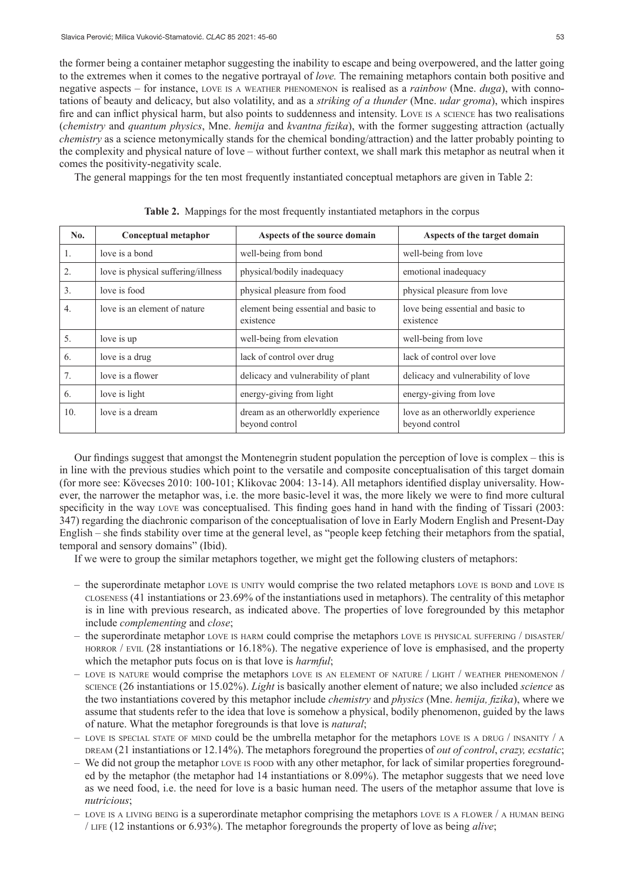the former being a container metaphor suggesting the inability to escape and being overpowered, and the latter going to the extremes when it comes to the negative portrayal of *love.* The remaining metaphors contain both positive and negative aspects – for instance, love is <sup>a</sup> weather phenomenon is realised as a *rainbow* (Mne. *duga*), with connotations of beauty and delicacy, but also volatility, and as a *striking of a thunder* (Mne. *udar groma*), which inspires fire and can inflict physical harm, but also points to suddenness and intensity. Love is <sup>a</sup> science has two realisations (*chemistry* and *quantum physics*, Mne. *hemija* and *kvantna fizika*), with the former suggesting attraction (actually *chemistry* as a science metonymically stands for the chemical bonding/attraction) and the latter probably pointing to the complexity and physical nature of love – without further context, we shall mark this metaphor as neutral when it comes the positivity-negativity scale.

The general mappings for the ten most frequently instantiated conceptual metaphors are given in Table 2:

| No. | Conceptual metaphor                | Aspects of the source domain                          | Aspects of the target domain                         |
|-----|------------------------------------|-------------------------------------------------------|------------------------------------------------------|
| 1.  | love is a bond                     | well-being from bond                                  | well-being from love                                 |
| 2.  | love is physical suffering/illness | physical/bodily inadequacy                            | emotional inadequacy                                 |
| 3.  | love is food                       | physical pleasure from food                           | physical pleasure from love                          |
| 4.  | love is an element of nature       | element being essential and basic to<br>existence     | love being essential and basic to<br>existence       |
| 5.  | love is up                         | well-being from elevation                             | well-being from love                                 |
| 6.  | love is a drug                     | lack of control over drug                             | lack of control over love                            |
| 7.  | love is a flower                   | delicacy and vulnerability of plant                   | delicacy and vulnerability of love                   |
| 6.  | love is light                      | energy-giving from light                              | energy-giving from love                              |
| 10. | love is a dream                    | dream as an otherworldly experience<br>beyond control | love as an otherworldly experience<br>beyond control |

**Table 2.** Mappings for the most frequently instantiated metaphors in the corpus

Our findings suggest that amongst the Montenegrin student population the perception of love is complex – this is in line with the previous studies which point to the versatile and composite conceptualisation of this target domain (for more see: Kövecses 2010: 100-101; Klikovac 2004: 13-14). All metaphors identified display universality. However, the narrower the metaphor was, i.e. the more basic-level it was, the more likely we were to find more cultural specificity in the way love was conceptualised. This finding goes hand in hand with the finding of Tissari (2003: 347) regarding the diachronic comparison of the conceptualisation of love in Early Modern English and Present-Day English – she finds stability over time at the general level, as "people keep fetching their metaphors from the spatial, temporal and sensory domains" (Ibid).

If we were to group the similar metaphors together, we might get the following clusters of metaphors:

- $-$  the superordinate metaphor love is unity would comprise the two related metaphors love is bond and love is closeness (41 instantiations or 23.69% of the instantiations used in metaphors). The centrality of this metaphor is in line with previous research, as indicated above. The properties of love foregrounded by this metaphor include *complementing* and *close*;
- the superordinate metaphor love is harm could comprise the metaphors love is physical suffering / disaster/ HORROR / EVIL (28 instantiations or 16.18%). The negative experience of love is emphasised, and the property which the metaphor puts focus on is that love is *harmful*;
- love is nature would comprise the metaphors love is an element of nature / light / weather phenomenon / science (26 instantiations or 15.02%). *Light* is basically another element of nature; we also included *science* as the two instantiations covered by this metaphor include *chemistry* and *physics* (Mne. *hemija, fizika*), where we assume that students refer to the idea that love is somehow a physical, bodily phenomenon, guided by the laws of nature. What the metaphor foregrounds is that love is *natural*;
- LOVE IS SPECIAL STATE OF MIND could be the umbrella metaphor for the metaphors love is a DRUG / INSANITY / A dream (21 instantiations or 12.14%). The metaphors foreground the properties of *out of control*, *crazy, ecstatic*;
- We did not group the metaphor love is food with any other metaphor, for lack of similar properties foregrounded by the metaphor (the metaphor had 14 instantiations or 8.09%). The metaphor suggests that we need love as we need food, i.e. the need for love is a basic human need. The users of the metaphor assume that love is *nutricious*;
- $-$  LOVE IS A LIVING BEING is a superordinate metaphor comprising the metaphors love is a FLOWER  $/$  a HUMAN BEING / life (12 instantions or 6.93%). The metaphor foregrounds the property of love as being *alive*;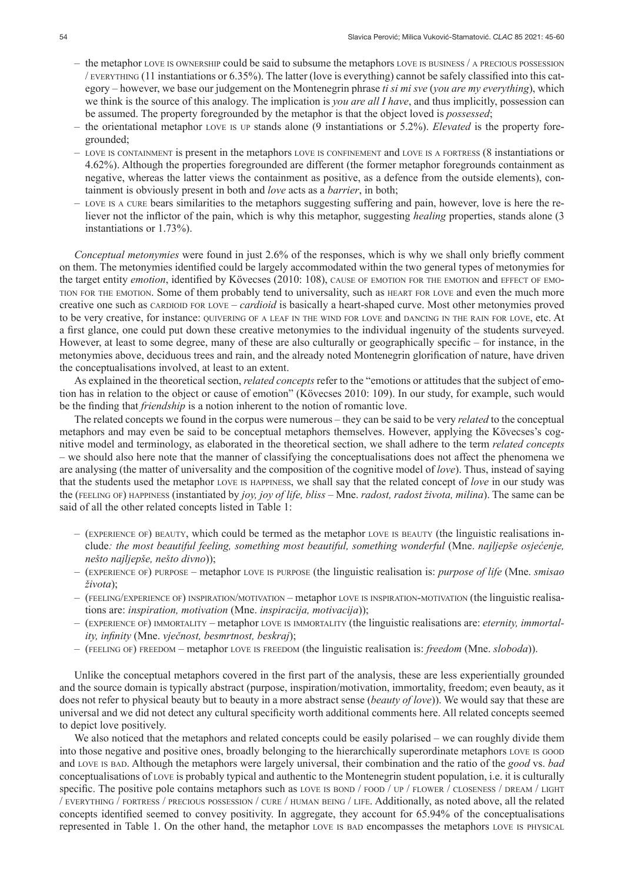- the metaphor love is ownership could be said to subsume the metaphors love is business / a precious possession / everything (11 instantiations or 6.35%). The latter (love is everything) cannot be safely classified into this category – however, we base our judgement on the Montenegrin phrase *ti si mi sve* (*you are my everything*), which we think is the source of this analogy. The implication is *you are all I have*, and thus implicitly, possession can be assumed. The property foregrounded by the metaphor is that the object loved is *possessed*;
- the orientational metaphor love is up stands alone (9 instantiations or 5.2%). *Elevated* is the property foregrounded;
- love is containment is present in the metaphors love is confinement and love is <sup>a</sup> fortress (8 instantiations or 4.62%). Although the properties foregrounded are different (the former metaphor foregrounds containment as negative, whereas the latter views the containment as positive, as a defence from the outside elements), containment is obviously present in both and *love* acts as a *barrier*, in both;
- love is <sup>a</sup> cure bears similarities to the metaphors suggesting suffering and pain, however, love is here the reliever not the inflictor of the pain, which is why this metaphor, suggesting *healing* properties, stands alone (3 instantiations or 1.73%).

*Conceptual metonymies* were found in just 2.6% of the responses, which is why we shall only briefly comment on them. The metonymies identified could be largely accommodated within the two general types of metonymies for the target entity *emotion*, identified by Kövecses (2010: 108), CAUSE OF EMOTION FOR THE EMOTION and EFFECT OF EMOtion for the emotion. Some of them probably tend to universality, such as heart for love and even the much more creative one such as cardioid for love – *cardioid* is basically a heart-shaped curve. Most other metonymies proved to be very creative, for instance: QUIVERING OF A LEAF IN THE WIND FOR LOVE and DANCING IN THE RAIN FOR LOVE, etc. At a first glance, one could put down these creative metonymies to the individual ingenuity of the students surveyed. However, at least to some degree, many of these are also culturally or geographically specific – for instance, in the metonymies above, deciduous trees and rain, and the already noted Montenegrin glorification of nature, have driven the conceptualisations involved, at least to an extent.

As explained in the theoretical section, *related concepts* refer to the "emotions or attitudes that the subject of emotion has in relation to the object or cause of emotion" (Kövecses 2010: 109). In our study, for example, such would be the finding that *friendship* is a notion inherent to the notion of romantic love.

The related concepts we found in the corpus were numerous – they can be said to be very *related* to the conceptual metaphors and may even be said to be conceptual metaphors themselves. However, applying the Kövecses's cognitive model and terminology, as elaborated in the theoretical section, we shall adhere to the term *related concepts –* we should also here note that the manner of classifying the conceptualisations does not affect the phenomena we are analysing (the matter of universality and the composition of the cognitive model of *love*). Thus, instead of saying that the students used the metaphor love is happiness, we shall say that the related concept of *love* in our study was the (feeling of) happiness (instantiated by *joy, joy of life, bliss –* Mne. *radost, radost života, milina*). The same can be said of all the other related concepts listed in Table 1:

- (experience of) beauty, which could be termed as the metaphor love is beauty (the linguistic realisations include*: the most beautiful feeling, something most beautiful, something wonderful* (Mne. *najljepše osjećenje, nešto najljepše, nešto divno*));
- (experience of) purpose metaphor love is purpose (the linguistic realisation is: *purpose of life* (Mne. *smisao života*);
- (feeling/experience of) inspiration/motivation metaphor love is inspiration-motivation (the linguistic realisations are: *inspiration, motivation* (Mne. *inspiracija, motivacija*));
- (experience of) immortality metaphor love is immortality (the linguistic realisations are: *eternity, immortality, infinity* (Mne. *vječnost, besmrtnost, beskraj*);
- (feeling of) freedom metaphor love is freedom (the linguistic realisation is: *freedom* (Mne. *sloboda*)).

Unlike the conceptual metaphors covered in the first part of the analysis, these are less experientially grounded and the source domain is typically abstract (purpose, inspiration/motivation, immortality, freedom; even beauty, as it does not refer to physical beauty but to beauty in a more abstract sense (*beauty of love*)). We would say that these are universal and we did not detect any cultural specificity worth additional comments here. All related concepts seemed to depict love positively.

We also noticed that the metaphors and related concepts could be easily polarised – we can roughly divide them into those negative and positive ones, broadly belonging to the hierarchically superordinate metaphors love is good and love is bad. Although the metaphors were largely universal, their combination and the ratio of the *good* vs. *bad*  conceptualisations of love is probably typical and authentic to the Montenegrin student population, i.e. it is culturally specific. The positive pole contains metaphors such as love is bond /  $p$  /  $p$  /  $p$  /  $p$  /  $p$  /  $p$  /  $p$  /  $p$  /  $p$  /  $p$  /  $p$  /  $p$  /  $p$  /  $p$  /  $p$  /  $p$  /  $p$  /  $p$  /  $p$  /  $p$  /  $p$  /  $p$  /  $p$  /  $p$  /  $p$  / / everything / fortress / precious possession / cure / human being / life. Additionally, as noted above, all the related concepts identified seemed to convey positivity. In aggregate, they account for 65.94% of the conceptualisations represented in Table 1. On the other hand, the metaphor love is bad encompasses the metaphors love is physical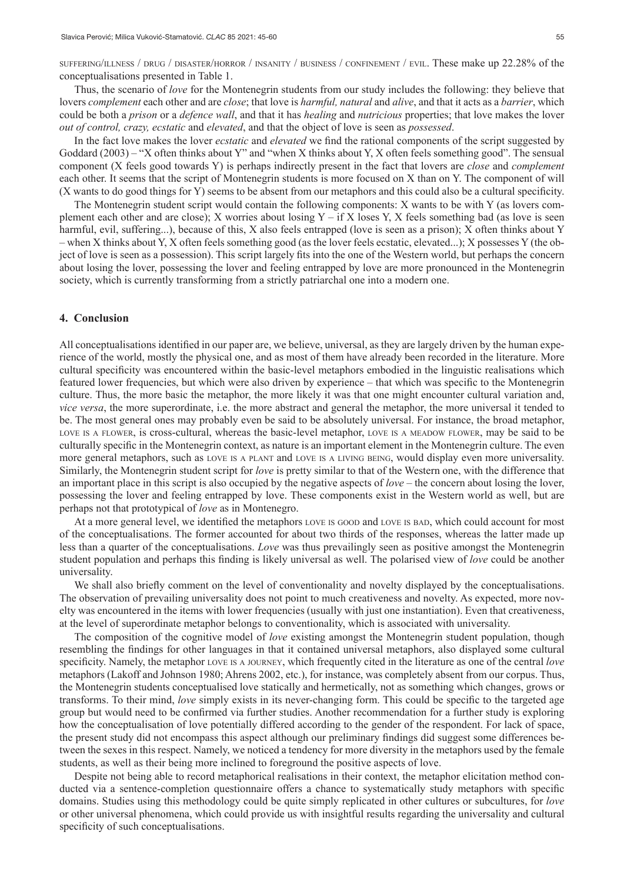suffering/illness / drug / disaster/horror / insanity / business / confinement / evil. These make up 22.28% of the conceptualisations presented in Table 1.

Thus, the scenario of *love* for the Montenegrin students from our study includes the following: they believe that lovers *complement* each other and are *close*; that love is *harmful, natural* and *alive*, and that it acts as a *barrier*, which could be both a *prison* or a *defence wall*, and that it has *healing* and *nutricious* properties; that love makes the lover *out of control, crazy, ecstatic* and *elevated*, and that the object of love is seen as *possessed*.

In the fact love makes the lover *ecstatic* and *elevated* we find the rational components of the script suggested by Goddard (2003) – "X often thinks about Y" and "when X thinks about Y, X often feels something good". The sensual component (X feels good towards Y) is perhaps indirectly present in the fact that lovers are *close* and *complement*  each other. It seems that the script of Montenegrin students is more focused on X than on Y. The component of will (X wants to do good things for Y) seems to be absent from our metaphors and this could also be a cultural specificity.

The Montenegrin student script would contain the following components: X wants to be with Y (as lovers complement each other and are close); X worries about losing Y – if X loses Y, X feels something bad (as love is seen harmful, evil, suffering...), because of this, X also feels entrapped (love is seen as a prison); X often thinks about Y – when X thinks about Y, X often feels something good (as the lover feels ecstatic, elevated...); X possesses Y (the object of love is seen as a possession). This script largely fits into the one of the Western world, but perhaps the concern about losing the lover, possessing the lover and feeling entrapped by love are more pronounced in the Montenegrin society, which is currently transforming from a strictly patriarchal one into a modern one.

#### **4. Conclusion**

All conceptualisations identified in our paper are, we believe, universal, as they are largely driven by the human experience of the world, mostly the physical one, and as most of them have already been recorded in the literature. More cultural specificity was encountered within the basic-level metaphors embodied in the linguistic realisations which featured lower frequencies, but which were also driven by experience – that which was specific to the Montenegrin culture. Thus, the more basic the metaphor, the more likely it was that one might encounter cultural variation and, *vice versa*, the more superordinate, i.e. the more abstract and general the metaphor, the more universal it tended to be. The most general ones may probably even be said to be absolutely universal. For instance, the broad metaphor, LOVE IS A FLOWER, is cross-cultural, whereas the basic-level metaphor, LOVE IS A MEADOW FLOWER, may be said to be culturally specific in the Montenegrin context, as nature is an important element in the Montenegrin culture. The even more general metaphors, such as love is <sup>a</sup> plant and love is <sup>a</sup> living being, would display even more universality. Similarly, the Montenegrin student script for *love* is pretty similar to that of the Western one, with the difference that an important place in this script is also occupied by the negative aspects of *love –* the concern about losing the lover, possessing the lover and feeling entrapped by love. These components exist in the Western world as well, but are perhaps not that prototypical of *love* as in Montenegro.

At a more general level, we identified the metaphors LOVE IS GOOD and LOVE IS BAD, which could account for most of the conceptualisations. The former accounted for about two thirds of the responses, whereas the latter made up less than a quarter of the conceptualisations. *Love* was thus prevailingly seen as positive amongst the Montenegrin student population and perhaps this finding is likely universal as well. The polarised view of *love* could be another universality.

We shall also briefly comment on the level of conventionality and novelty displayed by the conceptualisations. The observation of prevailing universality does not point to much creativeness and novelty. As expected, more novelty was encountered in the items with lower frequencies (usually with just one instantiation). Even that creativeness, at the level of superordinate metaphor belongs to conventionality, which is associated with universality.

The composition of the cognitive model of *love* existing amongst the Montenegrin student population, though resembling the findings for other languages in that it contained universal metaphors, also displayed some cultural specificity. Namely, the metaphor love is <sup>a</sup> journey, which frequently cited in the literature as one of the central *love*  metaphors (Lakoff and Johnson 1980; Ahrens 2002, etc.), for instance, was completely absent from our corpus. Thus, the Montenegrin students conceptualised love statically and hermetically, not as something which changes, grows or transforms. To their mind, *love* simply exists in its never-changing form. This could be specific to the targeted age group but would need to be confirmed via further studies. Another recommendation for a further study is exploring how the conceptualisation of love potentially differed according to the gender of the respondent. For lack of space, the present study did not encompass this aspect although our preliminary findings did suggest some differences between the sexes in this respect. Namely, we noticed a tendency for more diversity in the metaphors used by the female students, as well as their being more inclined to foreground the positive aspects of love.

Despite not being able to record metaphorical realisations in their context, the metaphor elicitation method conducted via a sentence-completion questionnaire offers a chance to systematically study metaphors with specific domains. Studies using this methodology could be quite simply replicated in other cultures or subcultures, for *love* or other universal phenomena, which could provide us with insightful results regarding the universality and cultural specificity of such conceptualisations.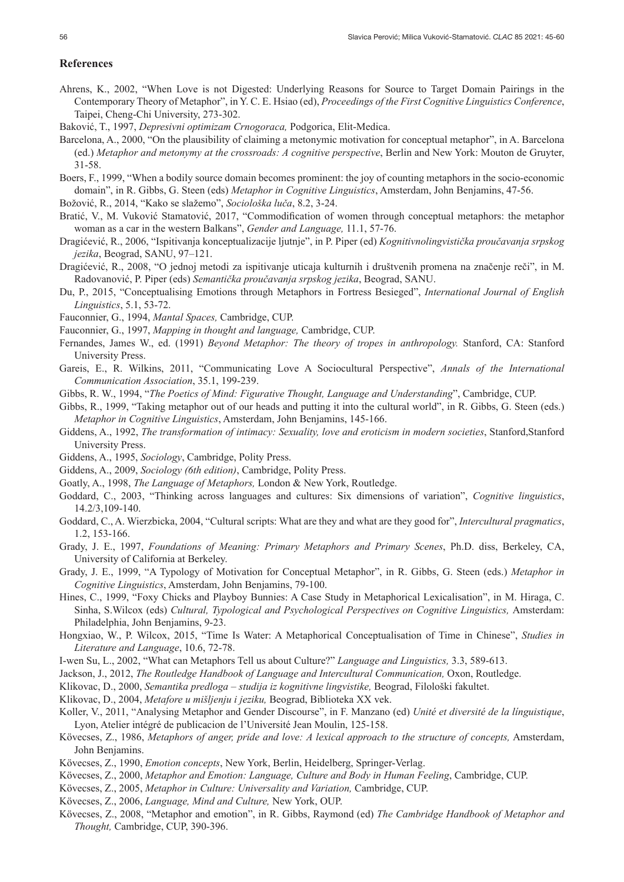#### **References**

- Ahrens, K., 2002, "When Love is not Digested: Underlying Reasons for Source to Target Domain Pairings in the Contemporary Theory of Metaphor", in Y. C. E. Hsiao (ed), *Proceedings of the First Cognitive Linguistics Conference*, Taipei, Cheng-Chi University, 273-302.
- Baković, T., 1997, *Depresivni optimizam Crnogoraca,* Podgorica, Elit-Medica.
- Barcelona, A., 2000, "On the plausibility of claiming a metonymic motivation for conceptual metaphor", in A. Barcelona (ed.) *Metaphor and metonymy at the crossroads: A cognitive perspective*, Berlin and New York: Mouton de Gruyter, 31-58.
- Boers, F., 1999, "When a bodily source domain becomes prominent: the joy of counting metaphors in the socio-economic domain", in R. Gibbs, G. Steen (eds) *Metaphor in Cognitive Linguistics*, Amsterdam, John Benjamins, 47-56.
- Božović, R., 2014, "Kako se slažemo", *Sociološka luča*, 8.2, 3-24.
- Bratić, V., M. Vuković Stamatović, 2017, "Commodification of women through conceptual metaphors: the metaphor woman as a car in the western Balkans", *Gender and Language,* 11.1, 57-76.
- Dragićević, R., 2006, "Ispitivanja konceptualizacije ljutnje", in P. Piper (ed) *Kognitivnolingvistička proučavanja srpskog jezika*, Beograd, SANU, 97–121.
- Dragićević, R., 2008, "O jednoj metodi za ispitivanje uticaja kulturnih i društvenih promena na značenje reči", in M. Radovanović, P. Piper (eds) *Semantička proučavanja srpskog jezika*, Beograd, SANU.
- Du, P., 2015, "Conceptualising Emotions through Metaphors in Fortress Besieged", *International Journal of English Linguistics*, 5.1, 53-72.
- Fauconnier, G., 1994, *Mantal Spaces,* Cambridge, CUP.
- Fauconnier, G., 1997, *Mapping in thought and language,* Cambridge, CUP.
- Fernandes, James W., ed. (1991) *Beyond Metaphor: The theory of tropes in anthropology.* Stanford, CA: Stanford University Press.
- Gareis, E., R. Wilkins, 2011, "Communicating Love A Sociocultural Perspective", *Annals of the International Communication Association*, 35.1, 199-239.
- Gibbs, R. W., 1994, "*The Poetics of Mind: Figurative Thought, Language and Understanding*", Cambridge, CUP.
- Gibbs, R., 1999, "Taking metaphor out of our heads and putting it into the cultural world", in R. Gibbs, G. Steen (eds.) *Metaphor in Cognitive Linguistics*, Amsterdam, John Benjamins, 145-166.
- Giddens, A., 1992, *The transformation of intimacy: Sexuality, love and eroticism in modern societies*, Stanford,Stanford University Press.
- Giddens, A., 1995, *Sociology*, Cambridge, Polity Press.
- Giddens, A., 2009, *Sociology (6th edition)*, Cambridge, Polity Press.
- Goatly, A., 1998, *The Language of Metaphors,* London & New York, Routledge.
- Goddard, C., 2003, "Thinking across languages and cultures: Six dimensions of variation", *Cognitive linguistics*, 14.2/3,109-140.
- Goddard, C., A. Wierzbicka, 2004, "Cultural scripts: What are they and what are they good for", *Intercultural pragmatics*, 1.2, 153-166.
- Grady, J. E., 1997, *Foundations of Meaning: Primary Metaphors and Primary Scenes*, Ph.D. diss, Berkeley, CA, University of California at Berkeley.
- Grady, J. E., 1999, "A Typology of Motivation for Conceptual Metaphor", in R. Gibbs, G. Steen (eds.) *Metaphor in Cognitive Linguistics*, Amsterdam, John Benjamins, 79-100.
- Hines, C., 1999, "Foxy Chicks and Playboy Bunnies: A Case Study in Metaphorical Lexicalisation", in M. Hiraga, C. Sinha, S.Wilcox (eds) *Cultural, Typological and Psychological Perspectives on Cognitive Linguistics*, Amsterdam: Philadelphia, John Benjamins, 9-23.
- Hongxiao, W., P. Wilcox, 2015, "Time Is Water: A Metaphorical Conceptualisation of Time in Chinese", *Studies in Literature and Language*, 10.6, 72-78.
- I-wen Su, L., 2002, "What can Metaphors Tell us about Culture?" *Language and Linguistics,* 3.3, 589-613.
- Jackson, J., 2012, *The Routledge Handbook of Language and Intercultural Communication,* Oxon, Routledge.
- Klikovac, D., 2000, *Semantika predloga studija iz kognitivne lingvistike,* Beograd, Filološki fakultet.
- Klikovac, D., 2004, *Metafore u mišljenju i jeziku,* Beograd, Biblioteka XX vek.
- Koller, V., 2011, "Analysing Metaphor and Gender Discourse", in F. Manzano (ed) *Unité et diversité de la línguistique*, Lyon, Atelier intégré de publicacion de l'Université Jean Moulin, 125-158.
- Kövecses, Z., 1986, *Metaphors of anger, pride and love: A lexical approach to the structure of concepts,* Amsterdam, John Benjamins.
- Kövecses, Z., 1990, *Emotion concepts*, New York, Berlin, Heidelberg, Springer-Verlag.
- Kövecses, Z., 2000, *Metaphor and Emotion: Language, Culture and Body in Human Feeling*, Cambridge, CUP.
- Kövecses, Z., 2005, *Metaphor in Culture: Universality and Variation,* Cambridge, CUP.
- Kövecses, Z., 2006, *Language, Mind and Culture,* New York, OUP.
- Kövecses, Z., 2008, "Metaphor and emotion", in R. Gibbs, Raymond (ed) *The Cambridge Handbook of Metaphor and Thought,* Cambridge, CUP, 390-396.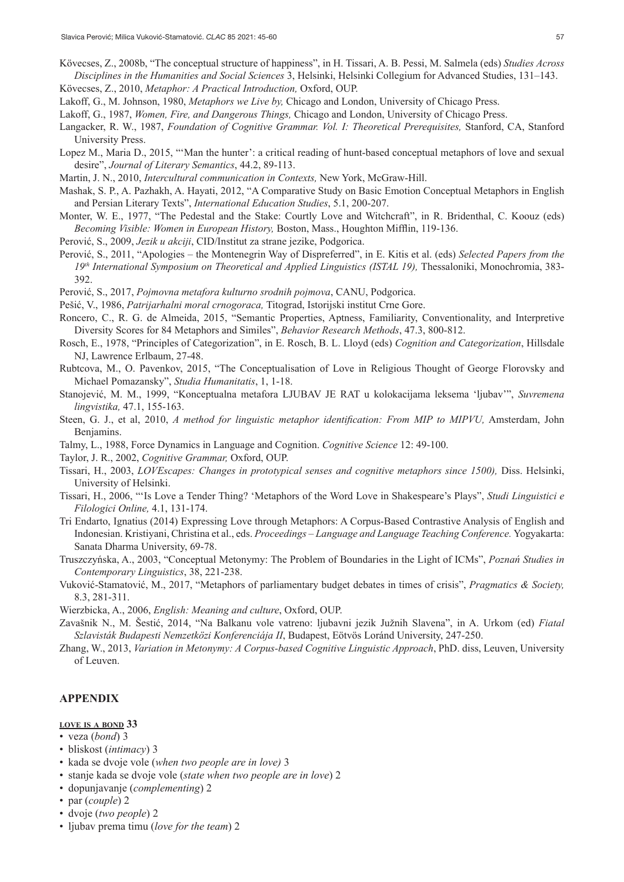- Kövecses, Z., 2008b, "The conceptual structure of happiness", in H. Tissari, A. B. Pessi, M. Salmela (eds) *Studies Across Disciplines in the Humanities and Social Sciences* 3, Helsinki, Helsinki Collegium for Advanced Studies, 131–143.
- Kövecses, Z., 2010, *Metaphor: A Practical Introduction,* Oxford, OUP.
- Lakoff, G., M. Johnson, 1980, *Metaphors we Live by,* Chicago and London, University of Chicago Press.
- Lakoff, G., 1987, *Women, Fire, and Dangerous Things,* Chicago and London, University of Chicago Press.
- Langacker, R. W., 1987, *Foundation of Cognitive Grammar. Vol. I: Theoretical Prerequisites,* Stanford, CA, Stanford University Press.
- Lopez M., Maria D., 2015, "'Man the hunter': a critical reading of hunt-based conceptual metaphors of love and sexual desire", *Journal of Literary Semantics*, 44.2, 89-113.
- Martin, J. N., 2010, *Intercultural communication in Contexts,* New York, McGraw-Hill.
- Mashak, S. P., A. Pazhakh, A. Hayati, 2012, "A Comparative Study on Basic Emotion Conceptual Metaphors in English and Persian Literary Texts", *International Education Studies*, 5.1, 200-207.
- Monter, W. E., 1977, "The Pedestal and the Stake: Courtly Love and Witchcraft", in R. Bridenthal, C. Koouz (eds) *Becoming Visible: Women in European History,* Boston, Mass., Houghton Mifflin, 119-136.
- Perović, S., 2009, *Jezik u akciji*, CID/Institut za strane jezike, Podgorica.
- Perović, S., 2011, "Apologies the Montenegrin Way of Dispreferred", in E. Kitis et al. (eds) *Selected Papers from the*  19<sup>th</sup> International Symposium on Theoretical and Applied Linguistics (ISTAL 19), Thessaloniki, Monochromia, 383-392.
- Perović, S., 2017, *Pojmovna metafora kulturno srodnih pojmova*, CANU, Podgorica.
- Pešić, V., 1986, *Patrijarhalni moral crnogoraca,* Titograd, Istorijski institut Crne Gore.
- Roncero, C., R. G. de Almeida, 2015, "Semantic Properties, Aptness, Familiarity, Conventionality, and Interpretive Diversity Scores for 84 Metaphors and Similes", *Behavior Research Methods*, 47.3, 800-812.
- Rosch, E., 1978, "Principles of Categorization", in E. Rosch, B. L. Lloyd (eds) *Cognition and Categorization*, Hillsdale NJ, Lawrence Erlbaum, 27-48.
- Rubtcova, M., O. Pavenkov, 2015, "The Conceptualisation of Love in Religious Thought of George Florovsky and Michael Pomazansky", *Studia Humanitatis*, 1, 1-18.
- Stanojević, M. M., 1999, "Konceptualna metafora LJUBAV JE RAT u kolokacijama leksema 'ljubav'", *Suvremena lingvistika,* 47.1, 155-163.
- Steen, G. J., et al, 2010, *A method for linguistic metaphor identification: From MIP to MIPVU,* Amsterdam, John Benjamins.
- Talmy, L., 1988, Force Dynamics in Language and Cognition. *Cognitive Science* 12: 49-100.
- Taylor, J. R., 2002, *Cognitive Grammar,* Oxford, OUP.
- Tissari, H., 2003, *LOVEscapes: Changes in prototypical senses and cognitive metaphors since 1500),* Diss. Helsinki, University of Helsinki.
- Tissari, H., 2006, "'Is Love a Tender Thing? 'Metaphors of the Word Love in Shakespeare's Plays", *Studi Linguistici e Filologici Online,* 4.1, 131-174.
- Tri Endarto, Ignatius (2014) Expressing Love through Metaphors: A Corpus-Based Contrastive Analysis of English and Indonesian. Kristiyani, Christina et al., eds. *Proceedings – Language and Language Teaching Conference.* Yogyakarta: Sanata Dharma University, 69-78.
- Truszczyńska, A., 2003, "Conceptual Metonymy: The Problem of Boundaries in the Light of ICMs", *Poznań Studies in Contemporary Linguistics*, 38, 221-238.
- Vuković-Stamatović, M., 2017, "Metaphors of parliamentary budget debates in times of crisis", *Pragmatics & Society,*  8.3, 281-311.
- Wierzbicka, A., 2006, *English: Meaning and culture*, Oxford, OUP.
- Zavašnik N., M. Šestić, 2014, "Na Balkanu vole vatreno: ljubavni jezik Južnih Slavena", in A. Urkom (ed) *Fiatal Szlavisták Budapesti Nemzetközi Konferenciája II*, Budapest, Eötvös Loránd University, 247-250.
- Zhang, W., 2013, *Variation in Metonymy: A Corpus-based Cognitive Linguistic Approach*, PhD. diss, Leuven, University of Leuven.

## **APPENDIX**

#### **love is <sup>a</sup> bond 33**

- veza (*bond*) 3
- bliskost (*intimacy*) 3
- kada se dvoje vole (*when two people are in love)* 3
- stanje kada se dvoje vole (*state when two people are in love*) 2
- dopunjavanje (*complementing*) 2
- par (*couple*) 2
- dvoje (*two people*) 2
- ljubav prema timu (*love for the team*) 2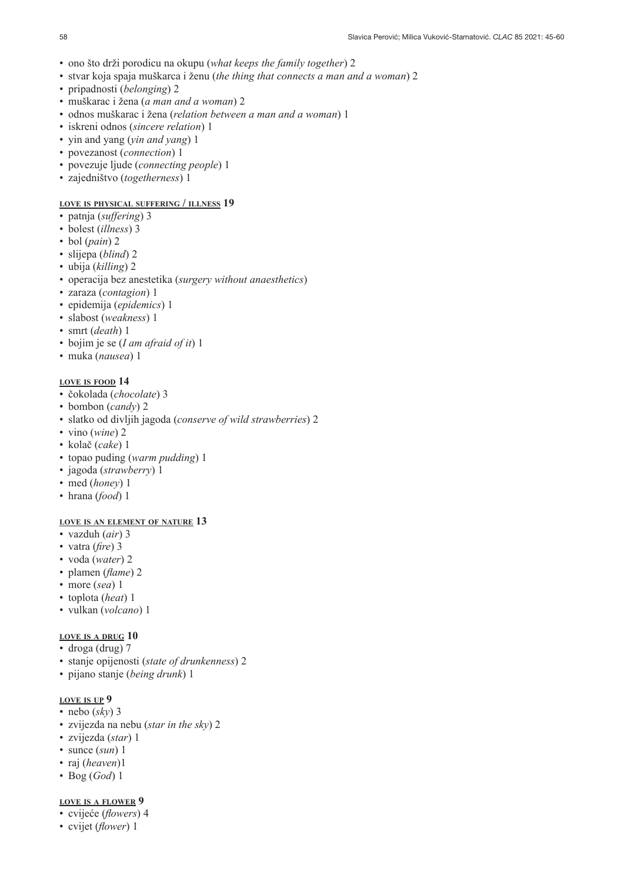- ono što drži porodicu na okupu (*what keeps the family together*) 2
- stvar koja spaja muškarca i ženu (*the thing that connects a man and a woman*) 2
- pripadnosti (*belonging*) 2
- muškarac i žena (*a man and a woman*) 2
- odnos muškarac i žena (*relation between a man and a woman*) 1
- iskreni odnos (*sincere relation*) 1
- yin and yang (*yin and yang*) 1
- povezanost (*connection*) 1
- povezuje ljude (*connecting people*) 1
- zajedništvo (*togetherness*) 1

## **love is physical suffering / illness 19**

- patnja (*suffering*) 3
- bolest (*illness*) 3
- bol (*pain*) 2
- slijepa (*blind*) 2
- ubija (*killing*) 2
- operacija bez anestetika (*surgery without anaesthetics*)
- zaraza (*contagion*) 1
- epidemija (*epidemics*) 1
- slabost (*weakness*) 1
- smrt (*death*) 1
- bojim je se (*I am afraid of it*) 1
- muka (*nausea*) 1

#### **love is food 14**

- čokolada (*chocolate*) 3
- bombon (*candy*) 2
- slatko od divljih jagoda (*conserve of wild strawberries*) 2
- vino (*wine*) 2
- kolač (*cake*) 1
- topao puding (*warm pudding*) 1
- jagoda (*strawberry*) 1
- med (*honey*) 1
- hrana (*food*) 1

## **love is an element of nature 13**

- vazduh (*air*) 3
- vatra (*fire*) 3
- voda (*water*) 2
- plamen (*flame*) 2
- more (*sea*) 1
- toplota (*heat*) 1
- vulkan (*volcano*) 1

## **love is <sup>a</sup> drug 10**

- droga (drug) 7
- stanje opijenosti (*state of drunkenness*) 2
- pijano stanje (*being drunk*) 1

#### **love is up 9**

- nebo (*sky*) 3
- zvijezda na nebu (*star in the sky*) 2
- zvijezda (*star*) 1
- sunce (*sun*) 1
- raj (*heaven*)1
- Bog (*God*) 1

## **love is a flower 9**

- cvijeće (*flowers*) 4
- cvijet (*flower*) 1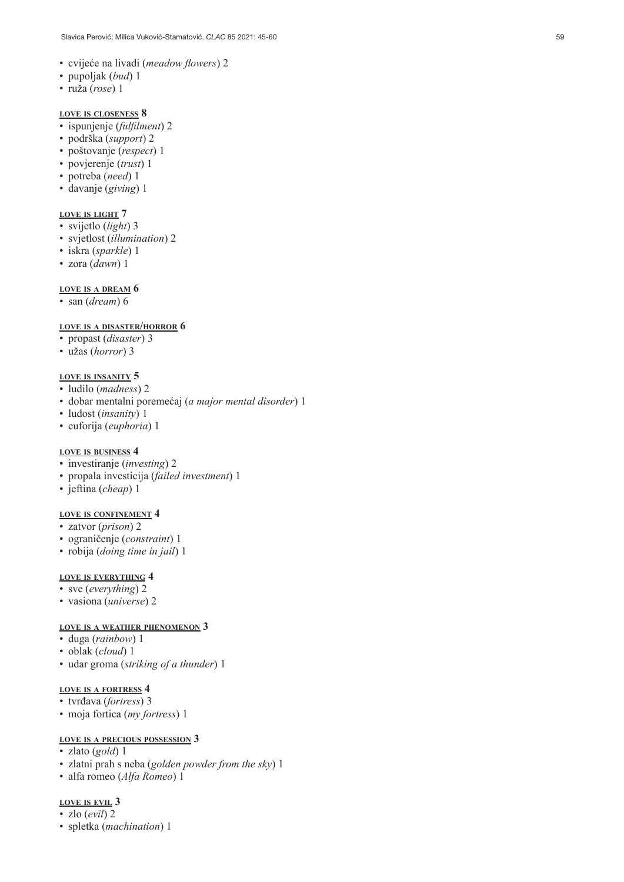- cvijeće na livadi (*meadow flowers*) 2
- pupoljak (*bud*) 1
- ruža (*rose*) 1

#### **love is closeness 8**

- ispunjenje (*fulfilment*) 2
- podrška (*support*) 2
- poštovanje (*respect*) 1
- povjerenje (*trust*) 1
- potreba (*need*) 1
- davanje (*giving*) 1

#### **love is light 7**

- svijetlo (*light*) 3
- svjetlost (*illumination*) 2
- iskra (*sparkle*) 1
- zora (*dawn*) 1

#### **love is a dream 6**

• san (*dream*) 6

#### **love is <sup>a</sup> disaster/horror 6**

- propast (*disaster*) 3
- užas (*horror*) 3

#### **love is insanity 5**

- ludilo (*madness*) 2
- dobar mentalni poremećaj (*a major mental disorder*) 1
- ludost (*insanity*) 1
- euforija (*euphoria*) 1

#### **love is business 4**

- investiranje (*investing*) 2
- propala investicija (*failed investment*) 1
- jeftina (*cheap*) 1

#### **love is confinement 4**

- zatvor (*prison*) 2
- ograničenje (*constraint*) 1
- robija (*doing time in jail*) 1

#### **love is everything 4**

- sve (*everything*) 2
- vasiona (*universe*) 2

#### **love is a weather phenomenon 3**

- duga (*rainbow*) 1
- oblak (*cloud*) 1
- udar groma (*striking of a thunder*) 1

#### **love is a fortress 4**

- tvrđava (*fortress*) 3
- moja fortica (*my fortress*) 1

#### **love is <sup>a</sup> precious possession 3**

- zlato (*gold*) 1
- zlatni prah s neba (*golden powder from the sky*) 1
- alfa romeo (*Alfa Romeo*) 1

#### **love is evil 3**

- zlo (*evil*) 2
- spletka (*machination*) 1